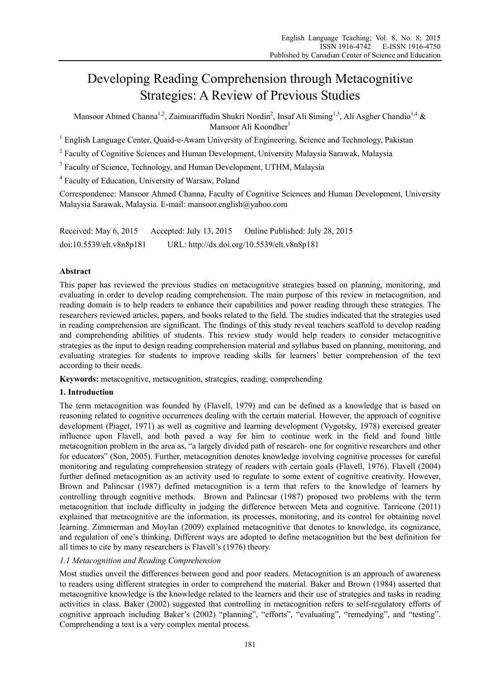# Developing Reading Comprehension through Metacognitive Strategies: A Review of Previous Studies

Mansoor Ahmed Channa<sup>1,2</sup>, Zaimuariffudin Shukri Nordin<sup>2</sup>, Insaf Ali Siming<sup>1,3</sup>, Ali Asgher Chandio<sup>1,4</sup> & Mansoor Ali Koondher $<sup>1</sup>$ </sup>

<sup>1</sup> English Language Center, Quaid-e-Awam University of Engineering, Science and Technology, Pakistan

<sup>2</sup> Faculty of Cognitive Sciences and Human Development, University Malaysia Sarawak, Malaysia

<sup>3</sup> Faculty of Science, Technology, and Human Development, UTHM, Malaysia

4 Faculty of Education, University of Warsaw, Poland

Correspondence: Mansoor Ahmed Channa, Faculty of Cognitive Sciences and Human Development, University Malaysia Sarawak, Malaysia. E-mail: mansoor.english@yahoo.com

Received: May 6, 2015 Accepted: July 13, 2015 Online Published: July 28, 2015 doi:10.5539/elt.v8n8p181 URL: http://dx.doi.org/10.5539/elt.v8n8p181

# **Abstract**

This paper has reviewed the previous studies on metacognitive strategies based on planning, monitoring, and evaluating in order to develop reading comprehension. The main purpose of this review in metacognition, and reading domain is to help readers to enhance their capabilities and power reading through these strategies. The researchers reviewed articles, papers, and books related to the field. The studies indicated that the strategies used in reading comprehension are significant. The findings of this study reveal teachers scaffold to develop reading and comprehending abilities of students. This review study would help readers to consider metacognitive strategies as the input to design reading comprehension material and syllabus based on planning, monitoring, and evaluating strategies for students to improve reading skills for learners' better comprehension of the text according to their needs.

**Keywords:** metacognitive, metacognition, strategies, reading, comprehending

# **1. Introduction**

The term metacognition was founded by (Flavell, 1979) and can be defined as a knowledge that is based on reasoning related to cognitive occurrences dealing with the certain material. However, the approach of cognitive development (Piaget, 1971) as well as cognitive and learning development (Vygotsky, 1978) exercised greater influence upon Flavell, and both paved a way for him to continue work in the field and found little metacognition problem in the area as, "a largely divided path of research- one for cognitive researchers and other for educators" (Son, 2005). Further, metacognition denotes knowledge involving cognitive processes for careful monitoring and regulating comprehension strategy of readers with certain goals (Flavell, 1976). Flavell (2004) further defined metacognition as an activity used to regulate to some extent of cognitive creativity. However, Brown and Palincsar (1987) defined metacognition is a term that refers to the knowledge of learners by controlling through cognitive methods. Brown and Palincsar (1987) proposed two problems with the term metacognition that include difficulty in judging the difference between Meta and cognitive. Tarricone (2011) explained that metacognitive are the information, its processes, monitoring, and its control for obtaining novel learning. Zimmerman and Moylan (2009) explained metacognitive that denotes to knowledge, its cognizance, and regulation of one's thinking. Different ways are adopted to define metacognition but the best definition for all times to cite by many researchers is Flavell's (1976) theory.

# *1.1 Metacognition and Reading Comprehension*

Most studies unveil the differences between good and poor readers. Metacognition is an approach of awareness to readers using different strategies in order to comprehend the material. Baker and Brown (1984) asserted that metacognitive knowledge is the knowledge related to the learners and their use of strategies and tasks in reading activities in class. Baker (2002) suggested that controlling in metacognition refers to self-regulatory efforts of cognitive approach including Baker's (2002) "planning", "efforts", "evaluating", "remedying", and "testing". Comprehending a text is a very complex mental process.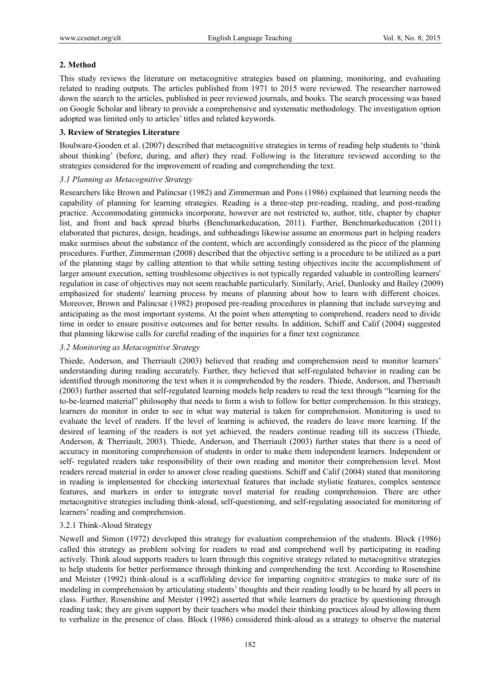# **2. Method**

This study reviews the literature on metacognitive strategies based on planning, monitoring, and evaluating related to reading outputs. The articles published from 1971 to 2015 were reviewed. The researcher narrowed down the search to the articles, published in peer reviewed journals, and books. The search processing was based on Google Scholar and library to provide a comprehensive and systematic methodology. The investigation option adopted was limited only to articles' titles and related keywords.

# **3. Review of Strategies Literature**

Boulware-Gooden et al. (2007) described that metacognitive strategies in terms of reading help students to 'think about thinking' (before, during, and after) they read. Following is the literature reviewed according to the strategies considered for the improvement of reading and comprehending the text.

# *3.1 Planning as Metacognitive Strategy*

Researchers like Brown and Palincsar (1982) and Zimmerman and Pons (1986) explained that learning needs the capability of planning for learning strategies. Reading is a three-step pre-reading, reading, and post-reading practice. Accommodating gimmicks incorporate, however are not restricted to, author, title, chapter by chapter list, and front and back spread blurbs (Benchmarkeducation, 2011). Further, Benchmarkeducation (2011) elaborated that pictures, design, headings, and subheadings likewise assume an enormous part in helping readers make surmises about the substance of the content, which are accordingly considered as the piece of the planning procedures. Further, Zimmerman (2008) described that the objective setting is a procedure to be utilized as a part of the planning stage by calling attention to that while setting testing objectives incite the accomplishment of larger amount execution, setting troublesome objectives is not typically regarded valuable in controlling learners' regulation in case of objectives may not seem reachable particularly. Similarly, Ariel, Dunlosky and Bailey (2009) emphasized for students' learning process by means of planning about how to learn with different choices. Moreover, Brown and Palincsar (1982) proposed pre-reading procedures in planning that include surveying and anticipating as the most important systems. At the point when attempting to comprehend, readers need to divide time in order to ensure positive outcomes and for better results. In addition, Schiff and Calif (2004) suggested that planning likewise calls for careful reading of the inquiries for a finer text cognizance.

# *3.2 Monitoring as Metacognitive Strategy*

Thiede, Anderson, and Therriault (2003) believed that reading and comprehension need to monitor learners' understanding during reading accurately. Further, they believed that self-regulated behavior in reading can be identified through monitoring the text when it is comprehended by the readers. Thiede, Anderson, and Therriault (2003) further asserted that self-regulated learning models help readers to read the text through "learning for the to-be-learned material" philosophy that needs to form a wish to follow for better comprehension. In this strategy, learners do monitor in order to see in what way material is taken for comprehension. Monitoring is used to evaluate the level of readers. If the level of learning is achieved, the readers do leave more learning. If the desired of learning of the readers is not yet achieved, the readers continue reading till its success (Thiede, Anderson, & Therriault, 2003). Thiede, Anderson, and Therriault (2003) further states that there is a need of accuracy in monitoring comprehension of students in order to make them independent learners. Independent or self- regulated readers take responsibility of their own reading and monitor their comprehension level. Most readers reread material in order to answer close reading questions. Schiff and Calif (2004) stated that monitoring in reading is implemented for checking intertextual features that include stylistic features, complex sentence features, and markers in order to integrate novel material for reading comprehension. There are other metacognitive strategies including think-aloud, self-questioning, and self-regulating associated for monitoring of learners' reading and comprehension.

# 3.2.1 Think-Aloud Strategy

Newell and Simon (1972) developed this strategy for evaluation comprehension of the students. Block (1986) called this strategy as problem solving for readers to read and comprehend well by participating in reading actively. Think aloud supports readers to learn through this cognitive strategy related to metacognitive strategies to help students for better performance through thinking and comprehending the text. According to Rosenshine and Meister (1992) think-aloud is a scaffolding device for imparting cognitive strategies to make sure of its modeling in comprehension by articulating students' thoughts and their reading loudly to be heard by all peers in class. Further, Rosenshine and Meister (1992) asserted that while learners do practice by questioning through reading task; they are given support by their teachers who model their thinking practices aloud by allowing them to verbalize in the presence of class. Block (1986) considered think-aloud as a strategy to observe the material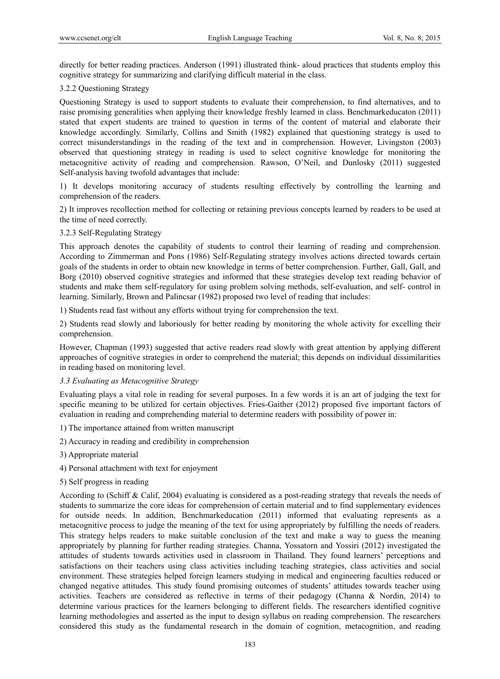directly for better reading practices. Anderson (1991) illustrated think- aloud practices that students employ this cognitive strategy for summarizing and clarifying difficult material in the class.

## 3.2.2 Questioning Strategy

Questioning Strategy is used to support students to evaluate their comprehension, to find alternatives, and to raise promising generalities when applying their knowledge freshly learned in class. Benchmarkeducaton (2011) stated that expert students are trained to question in terms of the content of material and elaborate their knowledge accordingly. Similarly, Collins and Smith (1982) explained that questioning strategy is used to correct misunderstandings in the reading of the text and in comprehension. However, Livingston (2003) observed that questioning strategy in reading is used to select cognitive knowledge for monitoring the metacognitive activity of reading and comprehension. Rawson, O'Neil, and Dunlosky (2011) suggested Self-analysis having twofold advantages that include:

1) It develops monitoring accuracy of students resulting effectively by controlling the learning and comprehension of the readers.

2) It improves recollection method for collecting or retaining previous concepts learned by readers to be used at the time of need correctly.

## 3.2.3 Self-Regulating Strategy

This approach denotes the capability of students to control their learning of reading and comprehension. According to Zimmerman and Pons (1986) Self-Regulating strategy involves actions directed towards certain goals of the students in order to obtain new knowledge in terms of better comprehension. Further, Gall, Gall, and Borg (2010) observed cognitive strategies and informed that these strategies develop text reading behavior of students and make them self-regulatory for using problem solving methods, self-evaluation, and self- control in learning. Similarly, Brown and Palincsar (1982) proposed two level of reading that includes:

1) Students read fast without any efforts without trying for comprehension the text.

2) Students read slowly and laboriously for better reading by monitoring the whole activity for excelling their comprehension.

However, Chapman (1993) suggested that active readers read slowly with great attention by applying different approaches of cognitive strategies in order to comprehend the material; this depends on individual dissimilarities in reading based on monitoring level.

## *3.3 Evaluating as Metacognitive Strategy*

Evaluating plays a vital role in reading for several purposes. In a few words it is an art of judging the text for specific meaning to be utilized for certain objectives. Fries-Gaither (2012) proposed five important factors of evaluation in reading and comprehending material to determine readers with possibility of power in:

1) The importance attained from written manuscript

2) Accuracy in reading and credibility in comprehension

- 3) Appropriate material
- 4) Personal attachment with text for enjoyment
- 5) Self progress in reading

According to (Schiff & Calif, 2004) evaluating is considered as a post-reading strategy that reveals the needs of students to summarize the core ideas for comprehension of certain material and to find supplementary evidences for outside needs. In addition, Benchmarkeducation (2011) informed that evaluating represents as a metacognitive process to judge the meaning of the text for using appropriately by fulfilling the needs of readers. This strategy helps readers to make suitable conclusion of the text and make a way to guess the meaning appropriately by planning for further reading strategies. Channa, Yossatorn and Yossiri (2012) investigated the attitudes of students towards activities used in classroom in Thailand. They found learners' perceptions and satisfactions on their teachers using class activities including teaching strategies, class activities and social environment. These strategies helped foreign learners studying in medical and engineering faculties reduced or changed negative attitudes. This study found promising outcomes of students' attitudes towards teacher using activities. Teachers are considered as reflective in terms of their pedagogy (Channa & Nordin, 2014) to determine various practices for the learners belonging to different fields. The researchers identified cognitive learning methodologies and asserted as the input to design syllabus on reading comprehension. The researchers considered this study as the fundamental research in the domain of cognition, metacognition, and reading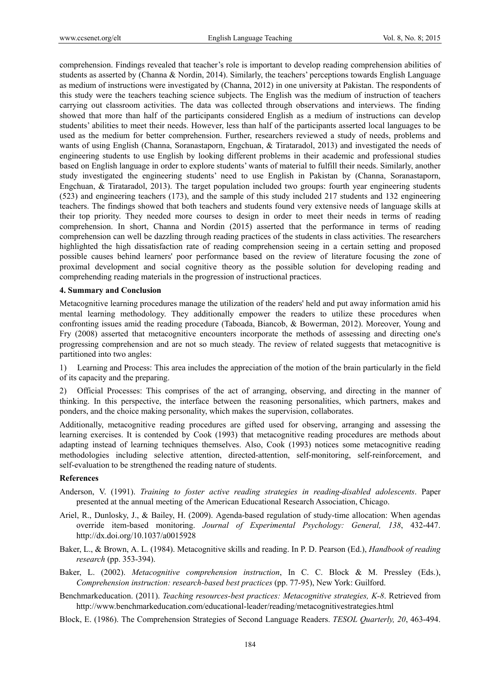comprehension. Findings revealed that teacher's role is important to develop reading comprehension abilities of students as asserted by (Channa & Nordin, 2014). Similarly, the teachers' perceptions towards English Language as medium of instructions were investigated by (Channa, 2012) in one university at Pakistan. The respondents of this study were the teachers teaching science subjects. The English was the medium of instruction of teachers carrying out classroom activities. The data was collected through observations and interviews. The finding showed that more than half of the participants considered English as a medium of instructions can develop students' abilities to meet their needs. However, less than half of the participants asserted local languages to be used as the medium for better comprehension. Further, researchers reviewed a study of needs, problems and wants of using English (Channa, Soranastaporn, Engchuan, & Tirataradol, 2013) and investigated the needs of engineering students to use English by looking different problems in their academic and professional studies based on English language in order to explore students' wants of material to fulfill their needs. Similarly, another study investigated the engineering students' need to use English in Pakistan by (Channa, Soranastaporn, Engchuan, & Tirataradol, 2013). The target population included two groups: fourth year engineering students (523) and engineering teachers (173), and the sample of this study included 217 students and 132 engineering teachers. The findings showed that both teachers and students found very extensive needs of language skills at their top priority. They needed more courses to design in order to meet their needs in terms of reading comprehension. In short, Channa and Nordin (2015) asserted that the performance in terms of reading comprehension can well be dazzling through reading practices of the students in class activities. The researchers highlighted the high dissatisfaction rate of reading comprehension seeing in a certain setting and proposed possible causes behind learners' poor performance based on the review of literature focusing the zone of proximal development and social cognitive theory as the possible solution for developing reading and comprehending reading materials in the progression of instructional practices.

#### **4. Summary and Conclusion**

Metacognitive learning procedures manage the utilization of the readers' held and put away information amid his mental learning methodology. They additionally empower the readers to utilize these procedures when confronting issues amid the reading procedure (Taboada, Biancob, & Bowerman, 2012). Moreover, Young and Fry (2008) asserted that metacognitive encounters incorporate the methods of assessing and directing one's progressing comprehension and are not so much steady. The review of related suggests that metacognitive is partitioned into two angles:

1) Learning and Process: This area includes the appreciation of the motion of the brain particularly in the field of its capacity and the preparing.

2) Official Processes: This comprises of the act of arranging, observing, and directing in the manner of thinking. In this perspective, the interface between the reasoning personalities, which partners, makes and ponders, and the choice making personality, which makes the supervision, collaborates.

Additionally, metacognitive reading procedures are gifted used for observing, arranging and assessing the learning exercises. It is contended by Cook (1993) that metacognitive reading procedures are methods about adapting instead of learning techniques themselves. Also, Cook (1993) notices some metacognitive reading methodologies including selective attention, directed-attention, self-monitoring, self-reinforcement, and self-evaluation to be strengthened the reading nature of students.

### **References**

- Anderson, V. (1991). *Training to foster active reading strategies in reading-disabled adolescents*. Paper presented at the annual meeting of the American Educational Research Association, Chicago.
- Ariel, R., Dunlosky, J., & Bailey, H. (2009). Agenda-based regulation of study-time allocation: When agendas override item-based monitoring. *Journal of Experimental Psychology: General, 138*, 432-447. http://dx.doi.org/10.1037/a0015928
- Baker, L., & Brown, A. L. (1984). Metacognitive skills and reading. In P. D. Pearson (Ed.), *Handbook of reading research* (pp. 353-394).
- Baker, L. (2002). *Metacognitive comprehension instruction*, In C. C. Block & M. Pressley (Eds.), *Comprehension instruction: research-based best practices* (pp. 77-95), New York: Guilford.
- Benchmarkeducation. (2011). *Teaching resources-best practices: Metacognitive strategies, K-8*. Retrieved from http://www.benchmarkeducation.com/educational-leader/reading/metacognitivestrategies.html
- Block, E. (1986). The Comprehension Strategies of Second Language Readers. *TESOL Quarterly, 20*, 463-494.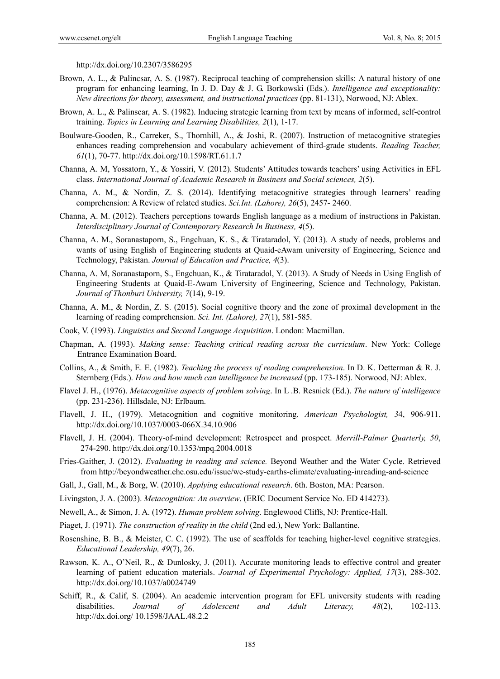http://dx.doi.org/10.2307/3586295

- Brown, A. L., & Palincsar, A. S. (1987). Reciprocal teaching of comprehension skills: A natural history of one program for enhancing learning, In J. D. Day & J. G. Borkowski (Eds.). *Intelligence and exceptionality: New directions for theory, assessment, and instructional practices* (pp. 81-131), Norwood, NJ: Ablex.
- Brown, A. L., & Palinscar, A. S. (1982). Inducing strategic learning from text by means of informed, self-control training. *Topics in Learning and Learning Disabilities, 2*(1), 1-17.
- Boulware-Gooden, R., Carreker, S., Thornhill, A., & Joshi, R. (2007). Instruction of metacognitive strategies enhances reading comprehension and vocabulary achievement of third-grade students. *Reading Teacher, 61*(1), 70-77. http://dx.doi.org/10.1598/RT.61.1.7
- Channa, A. M, Yossatorn, Y., & Yossiri, V. (2012). Students' Attitudes towards teachers' using Activities in EFL class. *International Journal of Academic Research in Business and Social sciences, 2*(5).
- Channa, A. M., & Nordin, Z. S. (2014). Identifying metacognitive strategies through learners' reading comprehension: A Review of related studies. *Sci.Int. (Lahore), 26*(5), 2457- 2460.
- Channa, A. M. (2012). Teachers perceptions towards English language as a medium of instructions in Pakistan. *Interdisciplinary Journal of Contemporary Research In Business, 4*(5).
- Channa, A. M., Soranastaporn, S., Engchuan, K. S., & Tirataradol, Y. (2013). A study of needs, problems and wants of using English of Engineering students at Quaid-eAwam university of Engineering, Science and Technology, Pakistan. *Journal of Education and Practice, 4*(3).
- Channa, A. M, Soranastaporn, S., Engchuan, K., & Tirataradol, Y. (2013). A Study of Needs in Using English of Engineering Students at Quaid-E-Awam University of Engineering, Science and Technology, Pakistan. *Journal of Thonburi University, 7*(14), 9-19.
- Channa, A. M., & Nordin, Z. S. (2015). Social cognitive theory and the zone of proximal development in the learning of reading comprehension. *Sci. Int. (Lahore), 27*(1), 581-585.
- Cook, V. (1993). *Linguistics and Second Language Acquisition*. London: Macmillan.
- Chapman, A. (1993). *Making sense: Teaching critical reading across the curriculum*. New York: College Entrance Examination Board.
- Collins, A., & Smith, E. E. (1982). *Teaching the process of reading comprehension*. In D. K. Detterman & R. J. Sternberg (Eds.). *How and how much can intelligence be increased* (pp. 173-185). Norwood, NJ: Ablex.
- Flavel J. H., (1976). *Metacognitive aspects of problem solving*. In L .B. Resnick (Ed.). *The nature of intelligence* (pp. 231-236). Hillsdale, NJ: Erlbaum.
- Flavell, J. H., (1979). Metacognition and cognitive monitoring. *American Psychologist, 3*4, 906-911. http://dx.doi.org/10.1037/0003-066X.34.10.906
- Flavell, J. H. (2004). Theory-of-mind development: Retrospect and prospect. *Merrill-Palmer Quarterly, 50*, 274-290. http://dx.doi.org/10.1353/mpq.2004.0018
- Fries-Gaither, J. (2012). *Evaluating in reading and science.* Beyond Weather and the Water Cycle. Retrieved from http://beyondweather.ehe.osu.edu/issue/we-study-earths-climate/evaluating-inreading-and-science
- Gall, J., Gall, M., & Borg, W. (2010). *Applying educational research*. 6th. Boston, MA: Pearson.
- Livingston, J. A. (2003). *Metacognition: An overview*. (ERIC Document Service No. ED 414273).
- Newell, A., & Simon, J. A. (1972). *Human problem solving*. Englewood Cliffs, NJ: Prentice-Hall.
- Piaget, J. (1971). *The construction of reality in the child* (2nd ed.), New York: Ballantine.
- Rosenshine, B. B., & Meister, C. C. (1992). The use of scaffolds for teaching higher-level cognitive strategies. *Educational Leadership, 49*(7), 26.
- Rawson, K. A., O'Neil, R., & Dunlosky, J. (2011). Accurate monitoring leads to effective control and greater learning of patient education materials. *Journal of Experimental Psychology: Applied, 17*(3), 288-302. http://dx.doi.org/10.1037/a0024749
- Schiff, R., & Calif, S. (2004). An academic intervention program for EFL university students with reading disabilities. *Journal of Adolescent and Adult Literacy, 48*(2), 102-113. http://dx.doi.org/ 10.1598/JAAL.48.2.2